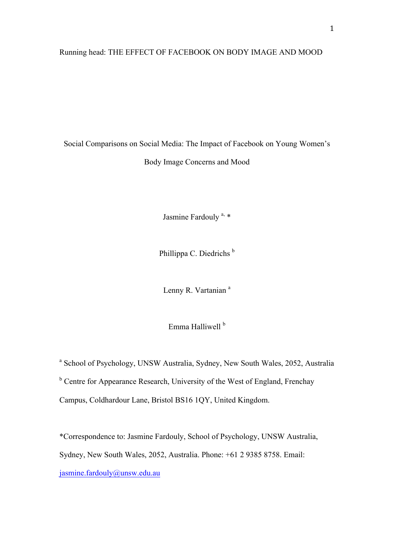## Running head: THE EFFECT OF FACEBOOK ON BODY IMAGE AND MOOD

Social Comparisons on Social Media: The Impact of Facebook on Young Women's Body Image Concerns and Mood

Jasmine Fardouly<sup>a, \*</sup>

Phillippa C. Diedrichs<sup>b</sup>

Lenny R. Vartanian<sup>a</sup>

Emma Halliwell<sup>b</sup>

<sup>a</sup> School of Psychology, UNSW Australia, Sydney, New South Wales, 2052, Australia

<sup>b</sup> Centre for Appearance Research, University of the West of England, Frenchay

Campus, Coldhardour Lane, Bristol BS16 1QY, United Kingdom.

\*Correspondence to: Jasmine Fardouly, School of Psychology, UNSW Australia, Sydney, New South Wales, 2052, Australia. Phone: +61 2 9385 8758. Email: jasmine.fardouly@unsw.edu.au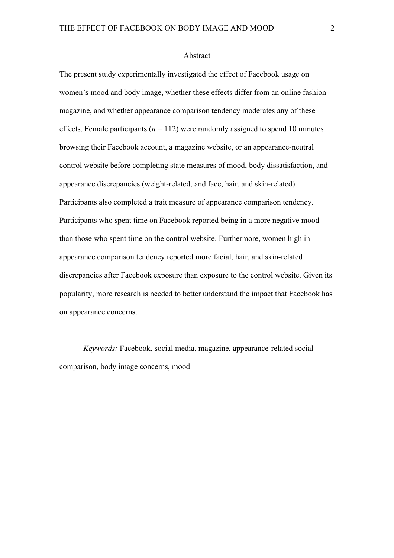#### Abstract

The present study experimentally investigated the effect of Facebook usage on women's mood and body image, whether these effects differ from an online fashion magazine, and whether appearance comparison tendency moderates any of these effects. Female participants ( $n = 112$ ) were randomly assigned to spend 10 minutes browsing their Facebook account, a magazine website, or an appearance-neutral control website before completing state measures of mood, body dissatisfaction, and appearance discrepancies (weight-related, and face, hair, and skin-related). Participants also completed a trait measure of appearance comparison tendency. Participants who spent time on Facebook reported being in a more negative mood than those who spent time on the control website. Furthermore, women high in appearance comparison tendency reported more facial, hair, and skin-related discrepancies after Facebook exposure than exposure to the control website. Given its popularity, more research is needed to better understand the impact that Facebook has on appearance concerns.

*Keywords:* Facebook, social media, magazine, appearance-related social comparison, body image concerns, mood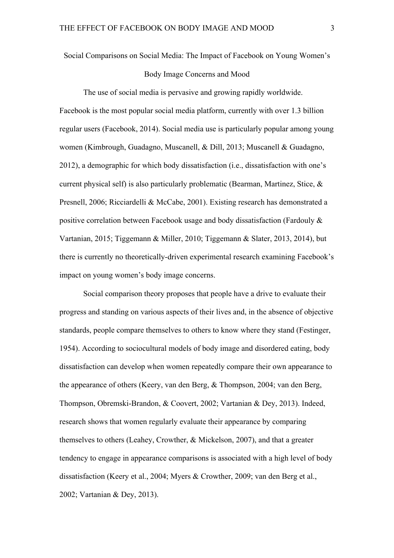Social Comparisons on Social Media: The Impact of Facebook on Young Women's

## Body Image Concerns and Mood

The use of social media is pervasive and growing rapidly worldwide. Facebook is the most popular social media platform, currently with over 1.3 billion regular users (Facebook, 2014). Social media use is particularly popular among young women (Kimbrough, Guadagno, Muscanell, & Dill, 2013; Muscanell & Guadagno, 2012), a demographic for which body dissatisfaction (i.e., dissatisfaction with one's current physical self) is also particularly problematic (Bearman, Martinez, Stice, & Presnell, 2006; Ricciardelli & McCabe, 2001). Existing research has demonstrated a positive correlation between Facebook usage and body dissatisfaction (Fardouly & Vartanian, 2015; Tiggemann & Miller, 2010; Tiggemann & Slater, 2013, 2014), but there is currently no theoretically-driven experimental research examining Facebook's impact on young women's body image concerns.

Social comparison theory proposes that people have a drive to evaluate their progress and standing on various aspects of their lives and, in the absence of objective standards, people compare themselves to others to know where they stand (Festinger, 1954). According to sociocultural models of body image and disordered eating, body dissatisfaction can develop when women repeatedly compare their own appearance to the appearance of others (Keery, van den Berg, & Thompson, 2004; van den Berg, Thompson, Obremski-Brandon, & Coovert, 2002; Vartanian & Dey, 2013). Indeed, research shows that women regularly evaluate their appearance by comparing themselves to others (Leahey, Crowther, & Mickelson, 2007), and that a greater tendency to engage in appearance comparisons is associated with a high level of body dissatisfaction (Keery et al., 2004; Myers & Crowther, 2009; van den Berg et al., 2002; Vartanian & Dey, 2013).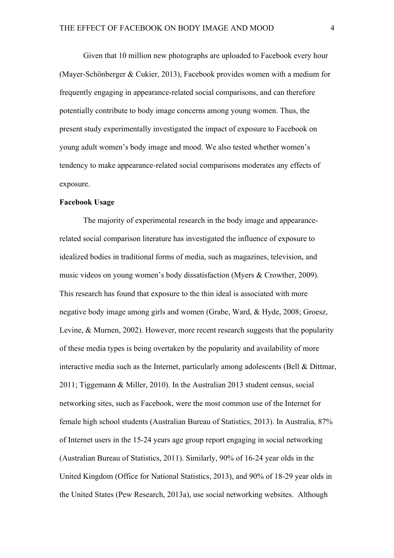Given that 10 million new photographs are uploaded to Facebook every hour (Mayer-Schönberger & Cukier, 2013), Facebook provides women with a medium for frequently engaging in appearance-related social comparisons, and can therefore potentially contribute to body image concerns among young women. Thus, the present study experimentally investigated the impact of exposure to Facebook on young adult women's body image and mood. We also tested whether women's tendency to make appearance-related social comparisons moderates any effects of exposure.

## **Facebook Usage**

The majority of experimental research in the body image and appearancerelated social comparison literature has investigated the influence of exposure to idealized bodies in traditional forms of media, such as magazines, television, and music videos on young women's body dissatisfaction (Myers & Crowther, 2009). This research has found that exposure to the thin ideal is associated with more negative body image among girls and women (Grabe, Ward, & Hyde, 2008; Groesz, Levine, & Murnen, 2002). However, more recent research suggests that the popularity of these media types is being overtaken by the popularity and availability of more interactive media such as the Internet, particularly among adolescents (Bell & Dittmar, 2011; Tiggemann & Miller, 2010). In the Australian 2013 student census, social networking sites, such as Facebook, were the most common use of the Internet for female high school students (Australian Bureau of Statistics, 2013). In Australia, 87% of Internet users in the 15-24 years age group report engaging in social networking (Australian Bureau of Statistics, 2011). Similarly, 90% of 16-24 year olds in the United Kingdom (Office for National Statistics, 2013), and 90% of 18-29 year olds in the United States (Pew Research, 2013a), use social networking websites. Although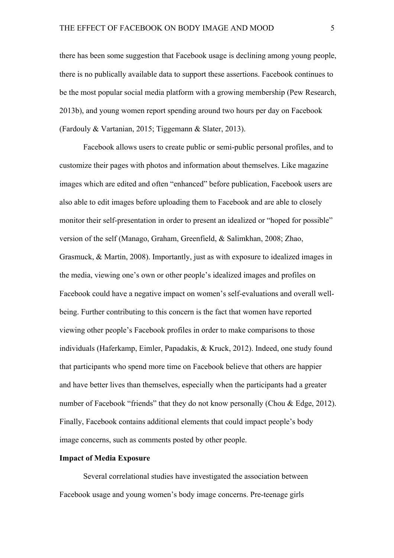there has been some suggestion that Facebook usage is declining among young people, there is no publically available data to support these assertions. Facebook continues to be the most popular social media platform with a growing membership (Pew Research, 2013b), and young women report spending around two hours per day on Facebook (Fardouly & Vartanian, 2015; Tiggemann & Slater, 2013).

Facebook allows users to create public or semi-public personal profiles, and to customize their pages with photos and information about themselves. Like magazine images which are edited and often "enhanced" before publication, Facebook users are also able to edit images before uploading them to Facebook and are able to closely monitor their self-presentation in order to present an idealized or "hoped for possible" version of the self (Manago, Graham, Greenfield, & Salimkhan, 2008; Zhao, Grasmuck, & Martin, 2008). Importantly, just as with exposure to idealized images in the media, viewing one's own or other people's idealized images and profiles on Facebook could have a negative impact on women's self-evaluations and overall wellbeing. Further contributing to this concern is the fact that women have reported viewing other people's Facebook profiles in order to make comparisons to those individuals (Haferkamp, Eimler, Papadakis, & Kruck, 2012). Indeed, one study found that participants who spend more time on Facebook believe that others are happier and have better lives than themselves, especially when the participants had a greater number of Facebook "friends" that they do not know personally (Chou & Edge, 2012). Finally, Facebook contains additional elements that could impact people's body image concerns, such as comments posted by other people.

## **Impact of Media Exposure**

Several correlational studies have investigated the association between Facebook usage and young women's body image concerns. Pre-teenage girls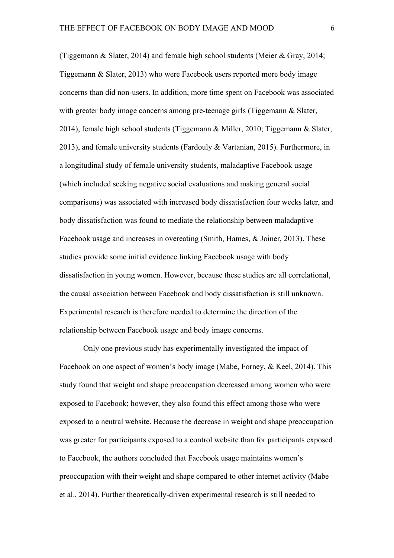(Tiggemann & Slater, 2014) and female high school students (Meier & Gray, 2014; Tiggemann & Slater, 2013) who were Facebook users reported more body image concerns than did non-users. In addition, more time spent on Facebook was associated with greater body image concerns among pre-teenage girls (Tiggemann & Slater, 2014), female high school students (Tiggemann & Miller, 2010; Tiggemann & Slater, 2013), and female university students (Fardouly & Vartanian, 2015). Furthermore, in a longitudinal study of female university students, maladaptive Facebook usage (which included seeking negative social evaluations and making general social comparisons) was associated with increased body dissatisfaction four weeks later, and body dissatisfaction was found to mediate the relationship between maladaptive Facebook usage and increases in overeating (Smith, Hames, & Joiner, 2013). These studies provide some initial evidence linking Facebook usage with body dissatisfaction in young women. However, because these studies are all correlational, the causal association between Facebook and body dissatisfaction is still unknown. Experimental research is therefore needed to determine the direction of the relationship between Facebook usage and body image concerns.

Only one previous study has experimentally investigated the impact of Facebook on one aspect of women's body image (Mabe, Forney, & Keel, 2014). This study found that weight and shape preoccupation decreased among women who were exposed to Facebook; however, they also found this effect among those who were exposed to a neutral website. Because the decrease in weight and shape preoccupation was greater for participants exposed to a control website than for participants exposed to Facebook, the authors concluded that Facebook usage maintains women's preoccupation with their weight and shape compared to other internet activity (Mabe et al., 2014). Further theoretically-driven experimental research is still needed to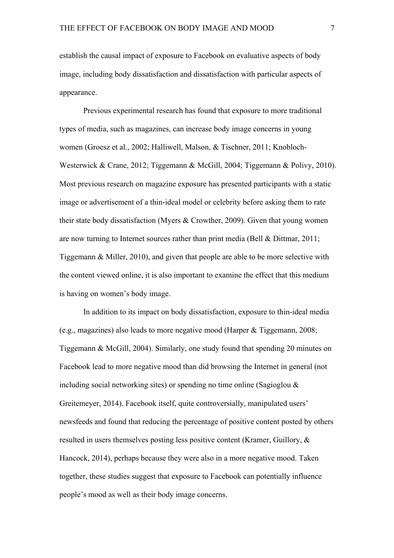establish the causal impact of exposure to Facebook on evaluative aspects of body image, including body dissatisfaction and dissatisfaction with particular aspects of appearance.

Previous experimental research has found that exposure to more traditional types of media, such as magazines, can increase body image concerns in young women (Groesz et al., 2002; Halliwell, Malson, & Tischner, 2011; Knobloch-Westerwick & Crane, 2012; Tiggemann & McGill, 2004; Tiggemann & Polivy, 2010). Most previous research on magazine exposure has presented participants with a static image or advertisement of a thin-ideal model or celebrity before asking them to rate their state body dissatisfaction (Myers & Crowther, 2009). Given that young women are now turning to Internet sources rather than print media (Bell & Dittmar, 2011; Tiggemann & Miller, 2010), and given that people are able to be more selective with the content viewed online, it is also important to examine the effect that this medium is having on women's body image.

In addition to its impact on body dissatisfaction, exposure to thin-ideal media (e.g., magazines) also leads to more negative mood (Harper & Tiggemann, 2008; Tiggemann & McGill, 2004). Similarly, one study found that spending 20 minutes on Facebook lead to more negative mood than did browsing the Internet in general (not including social networking sites) or spending no time online (Sagioglou  $\&$ Greitemeyer, 2014). Facebook itself, quite controversially, manipulated users' newsfeeds and found that reducing the percentage of positive content posted by others resulted in users themselves posting less positive content (Kramer, Guillory, & Hancock, 2014), perhaps because they were also in a more negative mood. Taken together, these studies suggest that exposure to Facebook can potentially influence people's mood as well as their body image concerns.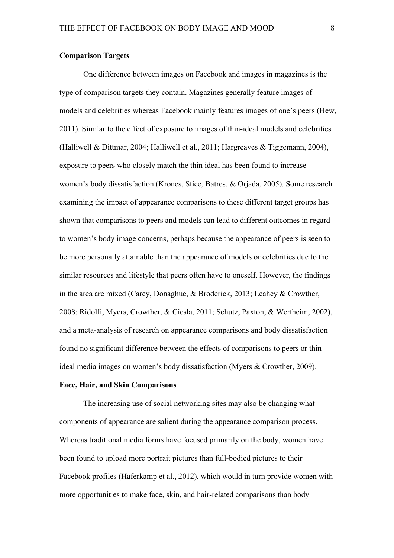## **Comparison Targets**

One difference between images on Facebook and images in magazines is the type of comparison targets they contain. Magazines generally feature images of models and celebrities whereas Facebook mainly features images of one's peers (Hew, 2011). Similar to the effect of exposure to images of thin-ideal models and celebrities (Halliwell & Dittmar, 2004; Halliwell et al., 2011; Hargreaves & Tiggemann, 2004), exposure to peers who closely match the thin ideal has been found to increase women's body dissatisfaction (Krones, Stice, Batres, & Orjada, 2005). Some research examining the impact of appearance comparisons to these different target groups has shown that comparisons to peers and models can lead to different outcomes in regard to women's body image concerns, perhaps because the appearance of peers is seen to be more personally attainable than the appearance of models or celebrities due to the similar resources and lifestyle that peers often have to oneself. However, the findings in the area are mixed (Carey, Donaghue, & Broderick, 2013; Leahey & Crowther, 2008; Ridolfi, Myers, Crowther, & Ciesla, 2011; Schutz, Paxton, & Wertheim, 2002), and a meta-analysis of research on appearance comparisons and body dissatisfaction found no significant difference between the effects of comparisons to peers or thinideal media images on women's body dissatisfaction (Myers & Crowther, 2009).

## **Face, Hair, and Skin Comparisons**

The increasing use of social networking sites may also be changing what components of appearance are salient during the appearance comparison process. Whereas traditional media forms have focused primarily on the body, women have been found to upload more portrait pictures than full-bodied pictures to their Facebook profiles (Haferkamp et al., 2012), which would in turn provide women with more opportunities to make face, skin, and hair-related comparisons than body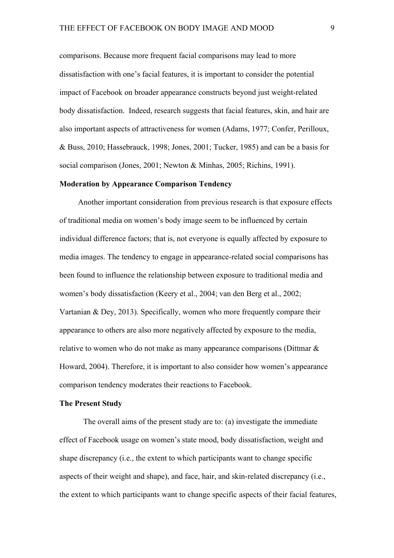comparisons. Because more frequent facial comparisons may lead to more dissatisfaction with one's facial features, it is important to consider the potential impact of Facebook on broader appearance constructs beyond just weight-related body dissatisfaction. Indeed, research suggests that facial features, skin, and hair are also important aspects of attractiveness for women (Adams, 1977; Confer, Perilloux, & Buss, 2010; Hassebrauck, 1998; Jones, 2001; Tucker, 1985) and can be a basis for social comparison (Jones, 2001; Newton & Minhas, 2005; Richins, 1991).

## **Moderation by Appearance Comparison Tendency**

Another important consideration from previous research is that exposure effects of traditional media on women's body image seem to be influenced by certain individual difference factors; that is, not everyone is equally affected by exposure to media images. The tendency to engage in appearance-related social comparisons has been found to influence the relationship between exposure to traditional media and women's body dissatisfaction (Keery et al., 2004; van den Berg et al., 2002; Vartanian & Dey, 2013). Specifically, women who more frequently compare their appearance to others are also more negatively affected by exposure to the media, relative to women who do not make as many appearance comparisons (Dittmar & Howard, 2004). Therefore, it is important to also consider how women's appearance comparison tendency moderates their reactions to Facebook.

## **The Present Study**

The overall aims of the present study are to: (a) investigate the immediate effect of Facebook usage on women's state mood, body dissatisfaction, weight and shape discrepancy (i.e., the extent to which participants want to change specific aspects of their weight and shape), and face, hair, and skin-related discrepancy (i.e., the extent to which participants want to change specific aspects of their facial features,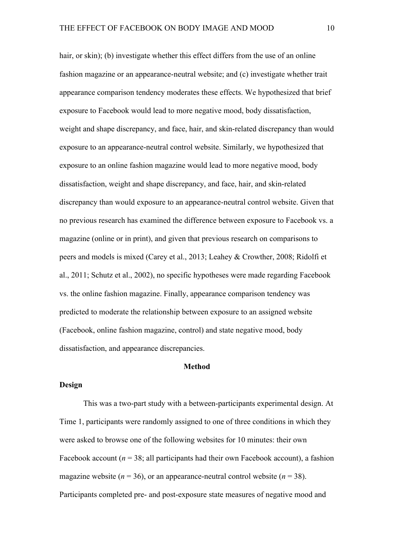hair, or skin); (b) investigate whether this effect differs from the use of an online fashion magazine or an appearance-neutral website; and (c) investigate whether trait appearance comparison tendency moderates these effects. We hypothesized that brief exposure to Facebook would lead to more negative mood, body dissatisfaction, weight and shape discrepancy, and face, hair, and skin-related discrepancy than would exposure to an appearance-neutral control website. Similarly, we hypothesized that exposure to an online fashion magazine would lead to more negative mood, body dissatisfaction, weight and shape discrepancy, and face, hair, and skin-related discrepancy than would exposure to an appearance-neutral control website. Given that no previous research has examined the difference between exposure to Facebook vs. a magazine (online or in print), and given that previous research on comparisons to peers and models is mixed (Carey et al., 2013; Leahey & Crowther, 2008; Ridolfi et al., 2011; Schutz et al., 2002), no specific hypotheses were made regarding Facebook vs. the online fashion magazine. Finally, appearance comparison tendency was predicted to moderate the relationship between exposure to an assigned website (Facebook, online fashion magazine, control) and state negative mood, body dissatisfaction, and appearance discrepancies.

### **Method**

## **Design**

This was a two-part study with a between-participants experimental design. At Time 1, participants were randomly assigned to one of three conditions in which they were asked to browse one of the following websites for 10 minutes: their own Facebook account  $(n = 38)$ ; all participants had their own Facebook account), a fashion magazine website ( $n = 36$ ), or an appearance-neutral control website ( $n = 38$ ). Participants completed pre- and post-exposure state measures of negative mood and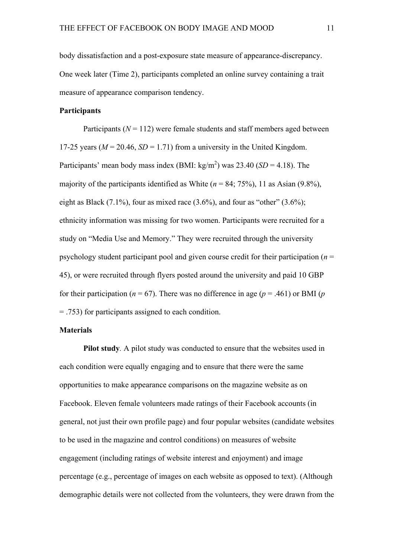body dissatisfaction and a post-exposure state measure of appearance-discrepancy. One week later (Time 2), participants completed an online survey containing a trait measure of appearance comparison tendency.

## **Participants**

Participants  $(N = 112)$  were female students and staff members aged between 17-25 years ( $M = 20.46$ ,  $SD = 1.71$ ) from a university in the United Kingdom. Participants' mean body mass index (BMI:  $\text{kg/m}^2$ ) was 23.40 (*SD* = 4.18). The majority of the participants identified as White  $(n = 84; 75\%)$ , 11 as Asian  $(9.8\%)$ , eight as Black  $(7.1\%)$ , four as mixed race  $(3.6\%)$ , and four as "other"  $(3.6\%)$ ; ethnicity information was missing for two women. Participants were recruited for a study on "Media Use and Memory." They were recruited through the university psychology student participant pool and given course credit for their participation (*n* = 45), or were recruited through flyers posted around the university and paid 10 GBP for their participation ( $n = 67$ ). There was no difference in age ( $p = .461$ ) or BMI ( $p$ ) = .753) for participants assigned to each condition.

## **Materials**

**Pilot study***.* A pilot study was conducted to ensure that the websites used in each condition were equally engaging and to ensure that there were the same opportunities to make appearance comparisons on the magazine website as on Facebook. Eleven female volunteers made ratings of their Facebook accounts (in general, not just their own profile page) and four popular websites (candidate websites to be used in the magazine and control conditions) on measures of website engagement (including ratings of website interest and enjoyment) and image percentage (e.g., percentage of images on each website as opposed to text). (Although demographic details were not collected from the volunteers, they were drawn from the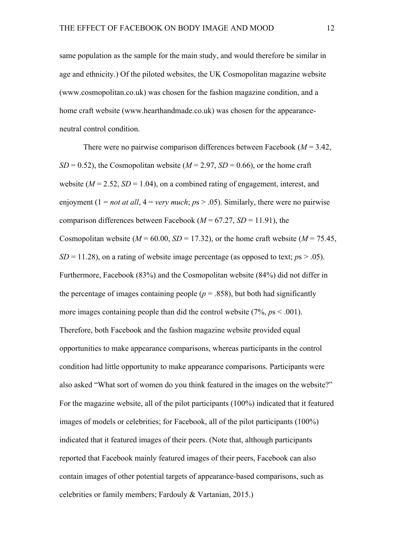same population as the sample for the main study, and would therefore be similar in age and ethnicity.) Of the piloted websites, the UK Cosmopolitan magazine website (www.cosmopolitan.co.uk) was chosen for the fashion magazine condition, and a home craft website (www.hearthandmade.co.uk) was chosen for the appearanceneutral control condition.

There were no pairwise comparison differences between Facebook (*M* = 3.42,  $SD = 0.52$ ), the Cosmopolitan website ( $M = 2.97$ ,  $SD = 0.66$ ), or the home craft website  $(M = 2.52, SD = 1.04)$ , on a combined rating of engagement, interest, and enjoyment ( $1 = not at all$ ,  $4 = very much$ ;  $ps > .05$ ). Similarly, there were no pairwise comparison differences between Facebook ( $M = 67.27$ ,  $SD = 11.91$ ), the Cosmopolitan website ( $M = 60.00$ ,  $SD = 17.32$ ), or the home craft website ( $M = 75.45$ ,  $SD = 11.28$ ), on a rating of website image percentage (as opposed to text;  $ps > .05$ ). Furthermore, Facebook (83%) and the Cosmopolitan website (84%) did not differ in the percentage of images containing people ( $p = 0.858$ ), but both had significantly more images containing people than did the control website  $(7\%$ ,  $p_s < .001)$ . Therefore, both Facebook and the fashion magazine website provided equal opportunities to make appearance comparisons, whereas participants in the control condition had little opportunity to make appearance comparisons. Participants were also asked "What sort of women do you think featured in the images on the website?" For the magazine website, all of the pilot participants (100%) indicated that it featured images of models or celebrities; for Facebook, all of the pilot participants (100%) indicated that it featured images of their peers. (Note that, although participants reported that Facebook mainly featured images of their peers, Facebook can also contain images of other potential targets of appearance-based comparisons, such as celebrities or family members; Fardouly & Vartanian, 2015.)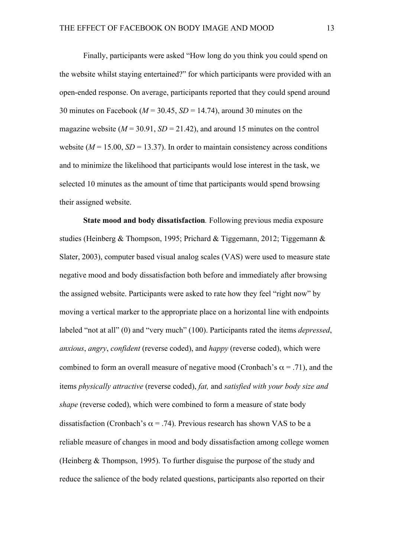Finally, participants were asked "How long do you think you could spend on the website whilst staying entertained?" for which participants were provided with an open-ended response. On average, participants reported that they could spend around 30 minutes on Facebook (*M* = 30.45, *SD* = 14.74), around 30 minutes on the magazine website  $(M = 30.91, SD = 21.42)$ , and around 15 minutes on the control website  $(M = 15.00, SD = 13.37)$ . In order to maintain consistency across conditions and to minimize the likelihood that participants would lose interest in the task, we selected 10 minutes as the amount of time that participants would spend browsing their assigned website.

**State mood and body dissatisfaction***.* Following previous media exposure studies (Heinberg & Thompson, 1995; Prichard & Tiggemann, 2012; Tiggemann & Slater, 2003), computer based visual analog scales (VAS) were used to measure state negative mood and body dissatisfaction both before and immediately after browsing the assigned website. Participants were asked to rate how they feel "right now" by moving a vertical marker to the appropriate place on a horizontal line with endpoints labeled "not at all" (0) and "very much" (100). Participants rated the items *depressed*, *anxious*, *angry*, *confident* (reverse coded), and *happy* (reverse coded), which were combined to form an overall measure of negative mood (Cronbach's  $\alpha$  = .71), and the items *physically attractive* (reverse coded), *fat,* and *satisfied with your body size and shape* (reverse coded), which were combined to form a measure of state body dissatisfaction (Cronbach's  $\alpha$  = .74). Previous research has shown VAS to be a reliable measure of changes in mood and body dissatisfaction among college women (Heinberg & Thompson, 1995). To further disguise the purpose of the study and reduce the salience of the body related questions, participants also reported on their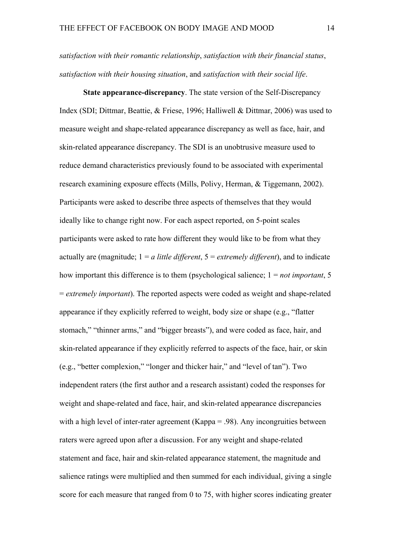*satisfaction with their romantic relationship*, *satisfaction with their financial status*, *satisfaction with their housing situation*, and *satisfaction with their social life*.

**State appearance-discrepancy**. The state version of the Self-Discrepancy Index (SDI; Dittmar, Beattie, & Friese, 1996; Halliwell & Dittmar, 2006) was used to measure weight and shape-related appearance discrepancy as well as face, hair, and skin-related appearance discrepancy. The SDI is an unobtrusive measure used to reduce demand characteristics previously found to be associated with experimental research examining exposure effects (Mills, Polivy, Herman, & Tiggemann, 2002). Participants were asked to describe three aspects of themselves that they would ideally like to change right now. For each aspect reported, on 5-point scales participants were asked to rate how different they would like to be from what they actually are (magnitude; 1 = *a little different*, 5 = *extremely different*), and to indicate how important this difference is to them (psychological salience; 1 = *not important*, 5 = *extremely important*). The reported aspects were coded as weight and shape-related appearance if they explicitly referred to weight, body size or shape (e.g., "flatter stomach," "thinner arms," and "bigger breasts"), and were coded as face, hair, and skin-related appearance if they explicitly referred to aspects of the face, hair, or skin (e.g., "better complexion," "longer and thicker hair," and "level of tan"). Two independent raters (the first author and a research assistant) coded the responses for weight and shape-related and face, hair, and skin-related appearance discrepancies with a high level of inter-rater agreement (Kappa = .98). Any incongruities between raters were agreed upon after a discussion. For any weight and shape-related statement and face, hair and skin-related appearance statement, the magnitude and salience ratings were multiplied and then summed for each individual, giving a single score for each measure that ranged from 0 to 75, with higher scores indicating greater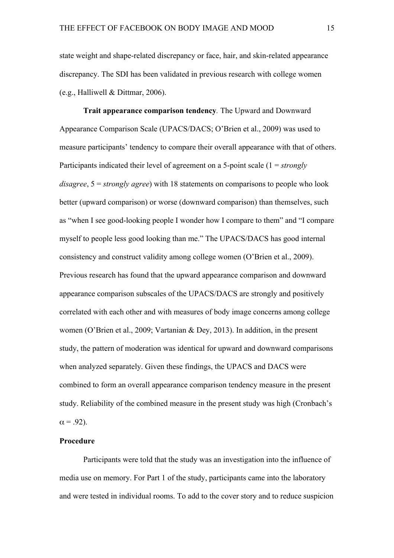state weight and shape-related discrepancy or face, hair, and skin-related appearance discrepancy. The SDI has been validated in previous research with college women (e.g., Halliwell & Dittmar, 2006).

**Trait appearance comparison tendency***.* The Upward and Downward Appearance Comparison Scale (UPACS/DACS; O'Brien et al., 2009) was used to measure participants' tendency to compare their overall appearance with that of others. Participants indicated their level of agreement on a 5-point scale (1 = *strongly disagree*, 5 = *strongly agree*) with 18 statements on comparisons to people who look better (upward comparison) or worse (downward comparison) than themselves, such as "when I see good-looking people I wonder how I compare to them" and "I compare myself to people less good looking than me." The UPACS/DACS has good internal consistency and construct validity among college women (O'Brien et al., 2009). Previous research has found that the upward appearance comparison and downward appearance comparison subscales of the UPACS/DACS are strongly and positively correlated with each other and with measures of body image concerns among college women (O'Brien et al., 2009; Vartanian & Dey, 2013). In addition, in the present study, the pattern of moderation was identical for upward and downward comparisons when analyzed separately. Given these findings, the UPACS and DACS were combined to form an overall appearance comparison tendency measure in the present study. Reliability of the combined measure in the present study was high (Cronbach's  $\alpha$  = .92).

# **Procedure**

Participants were told that the study was an investigation into the influence of media use on memory. For Part 1 of the study, participants came into the laboratory and were tested in individual rooms. To add to the cover story and to reduce suspicion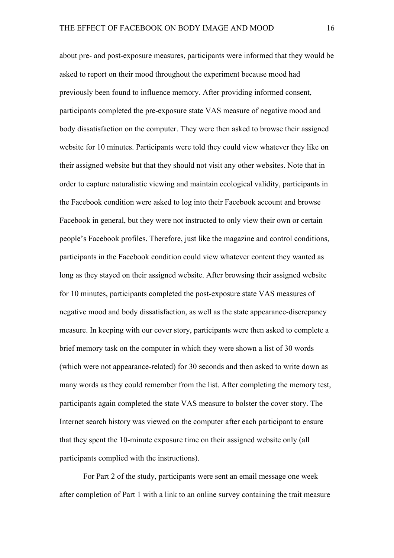about pre- and post-exposure measures, participants were informed that they would be asked to report on their mood throughout the experiment because mood had previously been found to influence memory. After providing informed consent, participants completed the pre-exposure state VAS measure of negative mood and body dissatisfaction on the computer. They were then asked to browse their assigned website for 10 minutes. Participants were told they could view whatever they like on their assigned website but that they should not visit any other websites. Note that in order to capture naturalistic viewing and maintain ecological validity, participants in the Facebook condition were asked to log into their Facebook account and browse Facebook in general, but they were not instructed to only view their own or certain people's Facebook profiles. Therefore, just like the magazine and control conditions, participants in the Facebook condition could view whatever content they wanted as long as they stayed on their assigned website. After browsing their assigned website for 10 minutes, participants completed the post-exposure state VAS measures of negative mood and body dissatisfaction, as well as the state appearance-discrepancy measure. In keeping with our cover story, participants were then asked to complete a brief memory task on the computer in which they were shown a list of 30 words (which were not appearance-related) for 30 seconds and then asked to write down as many words as they could remember from the list. After completing the memory test, participants again completed the state VAS measure to bolster the cover story. The Internet search history was viewed on the computer after each participant to ensure that they spent the 10-minute exposure time on their assigned website only (all participants complied with the instructions).

For Part 2 of the study, participants were sent an email message one week after completion of Part 1 with a link to an online survey containing the trait measure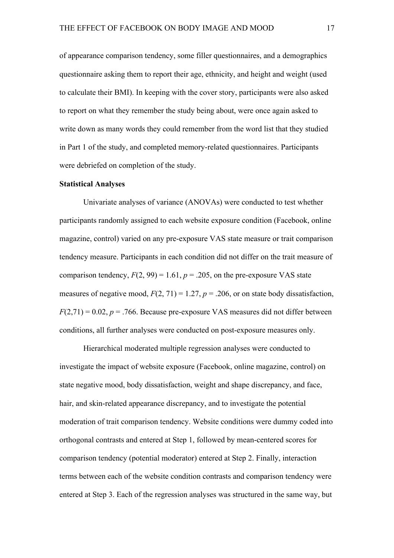of appearance comparison tendency, some filler questionnaires, and a demographics questionnaire asking them to report their age, ethnicity, and height and weight (used to calculate their BMI). In keeping with the cover story, participants were also asked to report on what they remember the study being about, were once again asked to write down as many words they could remember from the word list that they studied in Part 1 of the study, and completed memory-related questionnaires. Participants were debriefed on completion of the study.

#### **Statistical Analyses**

Univariate analyses of variance (ANOVAs) were conducted to test whether participants randomly assigned to each website exposure condition (Facebook, online magazine, control) varied on any pre-exposure VAS state measure or trait comparison tendency measure. Participants in each condition did not differ on the trait measure of comparison tendency,  $F(2, 99) = 1.61$ ,  $p = .205$ , on the pre-exposure VAS state measures of negative mood,  $F(2, 71) = 1.27$ ,  $p = .206$ , or on state body dissatisfaction,  $F(2,71) = 0.02$ ,  $p = .766$ . Because pre-exposure VAS measures did not differ between conditions, all further analyses were conducted on post-exposure measures only.

Hierarchical moderated multiple regression analyses were conducted to investigate the impact of website exposure (Facebook, online magazine, control) on state negative mood, body dissatisfaction, weight and shape discrepancy, and face, hair, and skin-related appearance discrepancy, and to investigate the potential moderation of trait comparison tendency. Website conditions were dummy coded into orthogonal contrasts and entered at Step 1, followed by mean-centered scores for comparison tendency (potential moderator) entered at Step 2. Finally, interaction terms between each of the website condition contrasts and comparison tendency were entered at Step 3. Each of the regression analyses was structured in the same way, but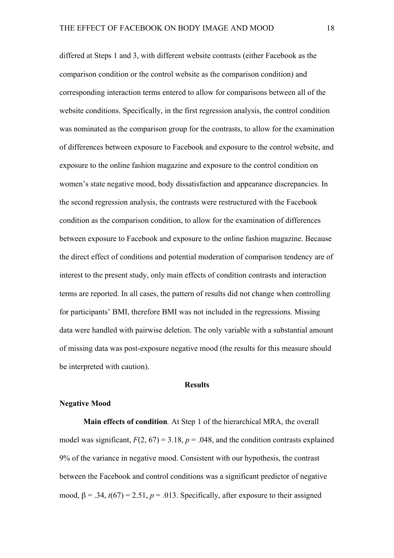differed at Steps 1 and 3, with different website contrasts (either Facebook as the comparison condition or the control website as the comparison condition) and corresponding interaction terms entered to allow for comparisons between all of the website conditions. Specifically, in the first regression analysis, the control condition was nominated as the comparison group for the contrasts, to allow for the examination of differences between exposure to Facebook and exposure to the control website, and exposure to the online fashion magazine and exposure to the control condition on women's state negative mood, body dissatisfaction and appearance discrepancies. In the second regression analysis, the contrasts were restructured with the Facebook condition as the comparison condition, to allow for the examination of differences between exposure to Facebook and exposure to the online fashion magazine. Because the direct effect of conditions and potential moderation of comparison tendency are of interest to the present study, only main effects of condition contrasts and interaction terms are reported. In all cases, the pattern of results did not change when controlling for participants' BMI, therefore BMI was not included in the regressions. Missing data were handled with pairwise deletion. The only variable with a substantial amount of missing data was post-exposure negative mood (the results for this measure should be interpreted with caution).

## **Results**

#### **Negative Mood**

**Main effects of condition***.* At Step 1 of the hierarchical MRA, the overall model was significant,  $F(2, 67) = 3.18$ ,  $p = .048$ , and the condition contrasts explained 9% of the variance in negative mood. Consistent with our hypothesis, the contrast between the Facebook and control conditions was a significant predictor of negative mood,  $\beta = .34$ ,  $t(67) = 2.51$ ,  $p = .013$ . Specifically, after exposure to their assigned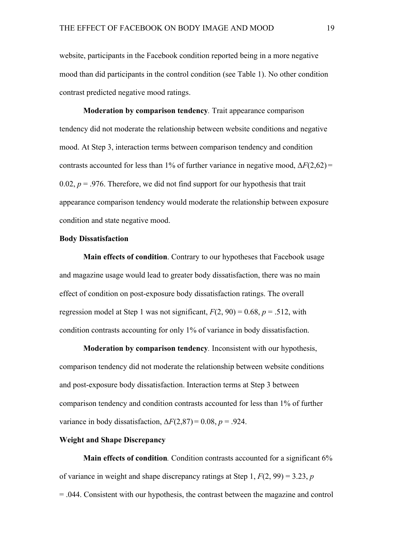website, participants in the Facebook condition reported being in a more negative mood than did participants in the control condition (see Table 1). No other condition contrast predicted negative mood ratings.

**Moderation by comparison tendency***.* Trait appearance comparison tendency did not moderate the relationship between website conditions and negative mood. At Step 3, interaction terms between comparison tendency and condition contrasts accounted for less than 1% of further variance in negative mood,  $\Delta F(2,62)$  = 0.02,  $p = 0.976$ . Therefore, we did not find support for our hypothesis that trait appearance comparison tendency would moderate the relationship between exposure condition and state negative mood.

#### **Body Dissatisfaction**

**Main effects of condition**. Contrary to our hypotheses that Facebook usage and magazine usage would lead to greater body dissatisfaction, there was no main effect of condition on post-exposure body dissatisfaction ratings. The overall regression model at Step 1 was not significant,  $F(2, 90) = 0.68$ ,  $p = .512$ , with condition contrasts accounting for only 1% of variance in body dissatisfaction.

**Moderation by comparison tendency***.* Inconsistent with our hypothesis, comparison tendency did not moderate the relationship between website conditions and post-exposure body dissatisfaction. Interaction terms at Step 3 between comparison tendency and condition contrasts accounted for less than 1% of further variance in body dissatisfaction,  $\Delta F(2,87) = 0.08$ ,  $p = .924$ .

# **Weight and Shape Discrepancy**

**Main effects of condition**. Condition contrasts accounted for a significant 6% of variance in weight and shape discrepancy ratings at Step 1, *F*(2, 99) = 3.23, *p* = .044. Consistent with our hypothesis, the contrast between the magazine and control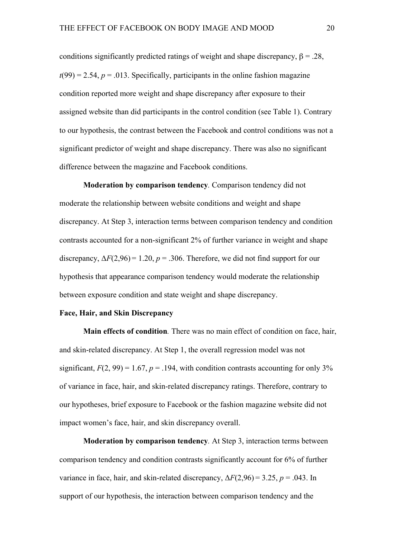conditions significantly predicted ratings of weight and shape discrepancy,  $\beta = .28$ ,  $t(99) = 2.54$ ,  $p = .013$ . Specifically, participants in the online fashion magazine condition reported more weight and shape discrepancy after exposure to their assigned website than did participants in the control condition (see Table 1). Contrary to our hypothesis, the contrast between the Facebook and control conditions was not a significant predictor of weight and shape discrepancy. There was also no significant difference between the magazine and Facebook conditions.

**Moderation by comparison tendency***.* Comparison tendency did not moderate the relationship between website conditions and weight and shape discrepancy. At Step 3, interaction terms between comparison tendency and condition contrasts accounted for a non-significant 2% of further variance in weight and shape discrepancy,  $\Delta F(2,96) = 1.20$ ,  $p = .306$ . Therefore, we did not find support for our hypothesis that appearance comparison tendency would moderate the relationship between exposure condition and state weight and shape discrepancy.

### **Face, Hair, and Skin Discrepancy**

**Main effects of condition***.* There was no main effect of condition on face, hair, and skin-related discrepancy. At Step 1, the overall regression model was not significant,  $F(2, 99) = 1.67$ ,  $p = .194$ , with condition contrasts accounting for only 3% of variance in face, hair, and skin-related discrepancy ratings. Therefore, contrary to our hypotheses, brief exposure to Facebook or the fashion magazine website did not impact women's face, hair, and skin discrepancy overall.

**Moderation by comparison tendency***.* At Step 3, interaction terms between comparison tendency and condition contrasts significantly account for 6% of further variance in face, hair, and skin-related discrepancy,  $\Delta F(2,96) = 3.25$ ,  $p = .043$ . In support of our hypothesis, the interaction between comparison tendency and the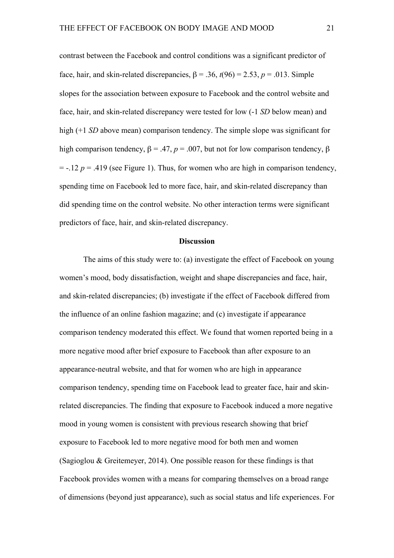contrast between the Facebook and control conditions was a significant predictor of face, hair, and skin-related discrepancies,  $\beta = .36$ ,  $t(96) = 2.53$ ,  $p = .013$ . Simple slopes for the association between exposure to Facebook and the control website and face, hair, and skin-related discrepancy were tested for low (-1 *SD* below mean) and high (+1 *SD* above mean) comparison tendency. The simple slope was significant for high comparison tendency,  $\beta = .47$ ,  $p = .007$ , but not for low comparison tendency,  $\beta$  $= -.12$   $p = .419$  (see Figure 1). Thus, for women who are high in comparison tendency, spending time on Facebook led to more face, hair, and skin-related discrepancy than did spending time on the control website. No other interaction terms were significant predictors of face, hair, and skin-related discrepancy.

#### **Discussion**

The aims of this study were to: (a) investigate the effect of Facebook on young women's mood, body dissatisfaction, weight and shape discrepancies and face, hair, and skin-related discrepancies; (b) investigate if the effect of Facebook differed from the influence of an online fashion magazine; and (c) investigate if appearance comparison tendency moderated this effect. We found that women reported being in a more negative mood after brief exposure to Facebook than after exposure to an appearance-neutral website, and that for women who are high in appearance comparison tendency, spending time on Facebook lead to greater face, hair and skinrelated discrepancies. The finding that exposure to Facebook induced a more negative mood in young women is consistent with previous research showing that brief exposure to Facebook led to more negative mood for both men and women (Sagioglou & Greitemeyer, 2014). One possible reason for these findings is that Facebook provides women with a means for comparing themselves on a broad range of dimensions (beyond just appearance), such as social status and life experiences. For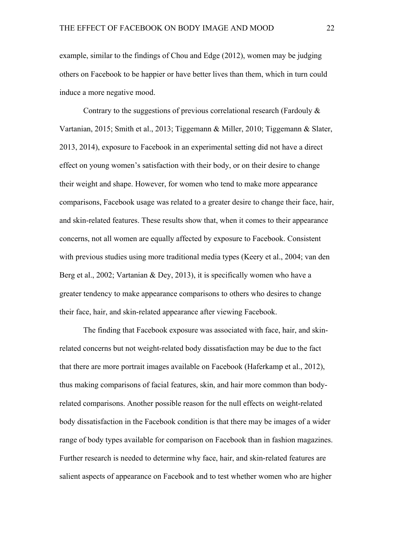example, similar to the findings of Chou and Edge (2012), women may be judging others on Facebook to be happier or have better lives than them, which in turn could induce a more negative mood.

Contrary to the suggestions of previous correlational research (Fardouly  $\&$ Vartanian, 2015; Smith et al., 2013; Tiggemann & Miller, 2010; Tiggemann & Slater, 2013, 2014), exposure to Facebook in an experimental setting did not have a direct effect on young women's satisfaction with their body, or on their desire to change their weight and shape. However, for women who tend to make more appearance comparisons, Facebook usage was related to a greater desire to change their face, hair, and skin-related features. These results show that, when it comes to their appearance concerns, not all women are equally affected by exposure to Facebook. Consistent with previous studies using more traditional media types (Keery et al., 2004; van den Berg et al., 2002; Vartanian & Dey, 2013), it is specifically women who have a greater tendency to make appearance comparisons to others who desires to change their face, hair, and skin-related appearance after viewing Facebook.

The finding that Facebook exposure was associated with face, hair, and skinrelated concerns but not weight-related body dissatisfaction may be due to the fact that there are more portrait images available on Facebook (Haferkamp et al., 2012), thus making comparisons of facial features, skin, and hair more common than bodyrelated comparisons. Another possible reason for the null effects on weight-related body dissatisfaction in the Facebook condition is that there may be images of a wider range of body types available for comparison on Facebook than in fashion magazines. Further research is needed to determine why face, hair, and skin-related features are salient aspects of appearance on Facebook and to test whether women who are higher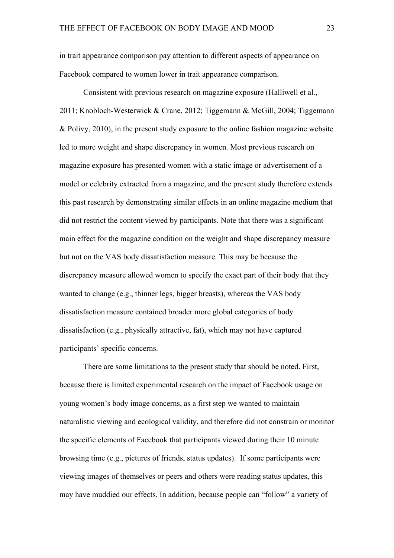in trait appearance comparison pay attention to different aspects of appearance on Facebook compared to women lower in trait appearance comparison.

Consistent with previous research on magazine exposure (Halliwell et al., 2011; Knobloch-Westerwick & Crane, 2012; Tiggemann & McGill, 2004; Tiggemann & Polivy, 2010), in the present study exposure to the online fashion magazine website led to more weight and shape discrepancy in women. Most previous research on magazine exposure has presented women with a static image or advertisement of a model or celebrity extracted from a magazine, and the present study therefore extends this past research by demonstrating similar effects in an online magazine medium that did not restrict the content viewed by participants. Note that there was a significant main effect for the magazine condition on the weight and shape discrepancy measure but not on the VAS body dissatisfaction measure. This may be because the discrepancy measure allowed women to specify the exact part of their body that they wanted to change (e.g., thinner legs, bigger breasts), whereas the VAS body dissatisfaction measure contained broader more global categories of body dissatisfaction (e.g., physically attractive, fat), which may not have captured participants' specific concerns.

There are some limitations to the present study that should be noted. First, because there is limited experimental research on the impact of Facebook usage on young women's body image concerns, as a first step we wanted to maintain naturalistic viewing and ecological validity, and therefore did not constrain or monitor the specific elements of Facebook that participants viewed during their 10 minute browsing time (e.g., pictures of friends, status updates). If some participants were viewing images of themselves or peers and others were reading status updates, this may have muddied our effects. In addition, because people can "follow" a variety of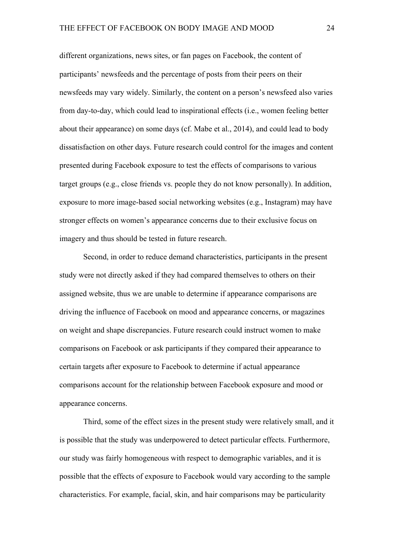different organizations, news sites, or fan pages on Facebook, the content of participants' newsfeeds and the percentage of posts from their peers on their newsfeeds may vary widely. Similarly, the content on a person's newsfeed also varies from day-to-day, which could lead to inspirational effects (i.e., women feeling better about their appearance) on some days (cf. Mabe et al., 2014), and could lead to body dissatisfaction on other days. Future research could control for the images and content presented during Facebook exposure to test the effects of comparisons to various target groups (e.g., close friends vs. people they do not know personally). In addition, exposure to more image-based social networking websites (e.g., Instagram) may have stronger effects on women's appearance concerns due to their exclusive focus on imagery and thus should be tested in future research.

Second, in order to reduce demand characteristics, participants in the present study were not directly asked if they had compared themselves to others on their assigned website, thus we are unable to determine if appearance comparisons are driving the influence of Facebook on mood and appearance concerns, or magazines on weight and shape discrepancies. Future research could instruct women to make comparisons on Facebook or ask participants if they compared their appearance to certain targets after exposure to Facebook to determine if actual appearance comparisons account for the relationship between Facebook exposure and mood or appearance concerns.

Third, some of the effect sizes in the present study were relatively small, and it is possible that the study was underpowered to detect particular effects. Furthermore, our study was fairly homogeneous with respect to demographic variables, and it is possible that the effects of exposure to Facebook would vary according to the sample characteristics. For example, facial, skin, and hair comparisons may be particularity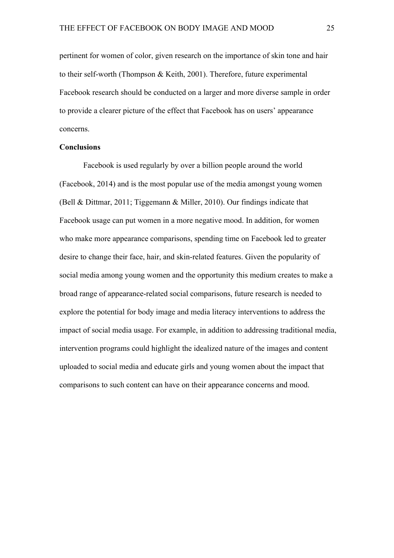pertinent for women of color, given research on the importance of skin tone and hair to their self-worth (Thompson & Keith, 2001). Therefore, future experimental Facebook research should be conducted on a larger and more diverse sample in order to provide a clearer picture of the effect that Facebook has on users' appearance concerns.

### **Conclusions**

Facebook is used regularly by over a billion people around the world (Facebook, 2014) and is the most popular use of the media amongst young women (Bell & Dittmar, 2011; Tiggemann & Miller, 2010). Our findings indicate that Facebook usage can put women in a more negative mood. In addition, for women who make more appearance comparisons, spending time on Facebook led to greater desire to change their face, hair, and skin-related features. Given the popularity of social media among young women and the opportunity this medium creates to make a broad range of appearance-related social comparisons, future research is needed to explore the potential for body image and media literacy interventions to address the impact of social media usage. For example, in addition to addressing traditional media, intervention programs could highlight the idealized nature of the images and content uploaded to social media and educate girls and young women about the impact that comparisons to such content can have on their appearance concerns and mood.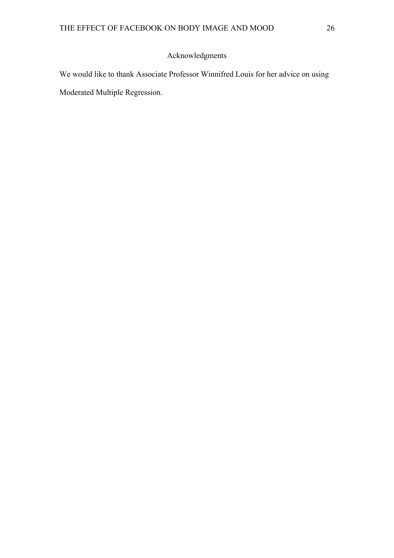# Acknowledgments

We would like to thank Associate Professor Winnifred Louis for her advice on using Moderated Multiple Regression.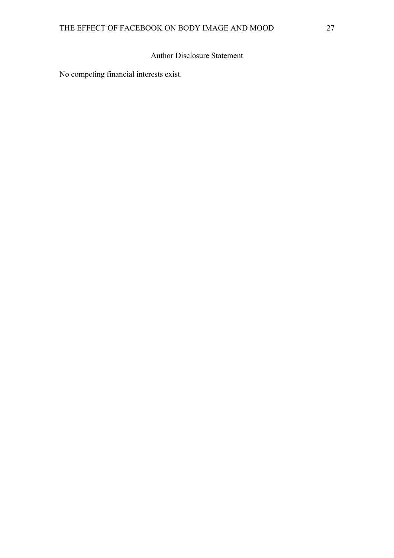# Author Disclosure Statement

No competing financial interests exist.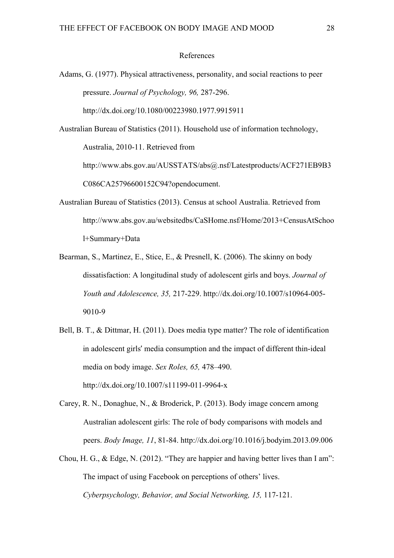#### References

Adams, G. (1977). Physical attractiveness, personality, and social reactions to peer pressure. *Journal of Psychology, 96,* 287-296. http://dx.doi.org/10.1080/00223980.1977.9915911

Australian Bureau of Statistics (2011). Household use of information technology, Australia, 2010-11. Retrieved from http://www.abs.gov.au/AUSSTATS/abs@.nsf/Latestproducts/ACF271EB9B3 C086CA25796600152C94?opendocument.

- Australian Bureau of Statistics (2013). Census at school Australia. Retrieved from http://www.abs.gov.au/websitedbs/CaSHome.nsf/Home/2013+CensusAtSchoo l+Summary+Data
- Bearman, S., Martinez, E., Stice, E., & Presnell, K. (2006). The skinny on body dissatisfaction: A longitudinal study of adolescent girls and boys. *Journal of Youth and Adolescence, 35,* 217-229. http://dx.doi.org/10.1007/s10964-005- 9010-9
- Bell, B. T., & Dittmar, H. (2011). Does media type matter? The role of identification in adolescent girls' media consumption and the impact of different thin-ideal media on body image. *Sex Roles, 65,* 478–490. http://dx.doi.org/10.1007/s11199-011-9964-x
- Carey, R. N., Donaghue, N., & Broderick, P. (2013). Body image concern among Australian adolescent girls: The role of body comparisons with models and peers. *Body Image, 11*, 81-84. http://dx.doi.org/10.1016/j.bodyim.2013.09.006
- Chou, H. G., & Edge, N. (2012). "They are happier and having better lives than I am": The impact of using Facebook on perceptions of others' lives. *Cyberpsychology, Behavior, and Social Networking, 15,* 117-121.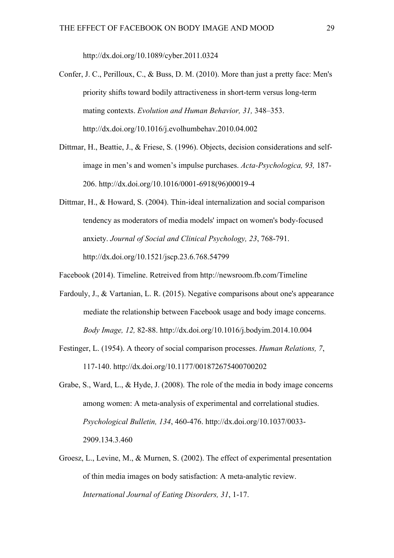http://dx.doi.org/10.1089/cyber.2011.0324

- Confer, J. C., Perilloux, C., & Buss, D. M. (2010). More than just a pretty face: Men's priority shifts toward bodily attractiveness in short-term versus long-term mating contexts. *Evolution and Human Behavior, 31,* 348–353. http://dx.doi.org/10.1016/j.evolhumbehav.2010.04.002
- Dittmar, H., Beattie, J., & Friese, S. (1996). Objects, decision considerations and selfimage in men's and women's impulse purchases. *Acta-Psychologica, 93,* 187- 206. http://dx.doi.org/10.1016/0001-6918(96)00019-4
- Dittmar, H., & Howard, S. (2004). Thin-ideal internalization and social comparison tendency as moderators of media models' impact on women's body-focused anxiety. *Journal of Social and Clinical Psychology, 23*, 768-791. http://dx.doi.org/10.1521/jscp.23.6.768.54799
- Facebook (2014). Timeline. Retreived from http://newsroom.fb.com/Timeline
- Fardouly, J., & Vartanian, L. R. (2015). Negative comparisons about one's appearance mediate the relationship between Facebook usage and body image concerns. *Body Image, 12,* 82-88. http://dx.doi.org/10.1016/j.bodyim.2014.10.004
- Festinger, L. (1954). A theory of social comparison processes. *Human Relations, 7*, 117-140. http://dx.doi.org/10.1177/001872675400700202
- Grabe, S., Ward, L., & Hyde, J. (2008). The role of the media in body image concerns among women: A meta-analysis of experimental and correlational studies. *Psychological Bulletin, 134*, 460-476. http://dx.doi.org/10.1037/0033- 2909.134.3.460
- Groesz, L., Levine, M., & Murnen, S. (2002). The effect of experimental presentation of thin media images on body satisfaction: A meta-analytic review. *International Journal of Eating Disorders, 31*, 1-17.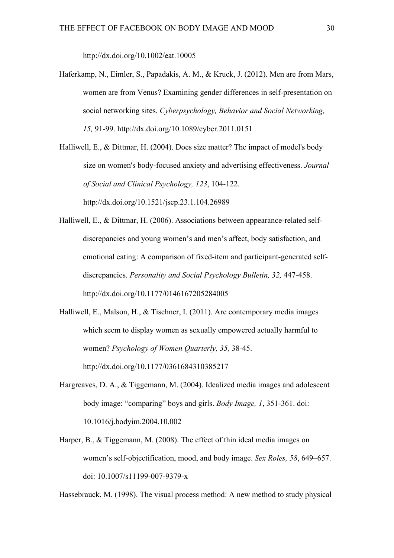http://dx.doi.org/10.1002/eat.10005

Haferkamp, N., Eimler, S., Papadakis, A. M., & Kruck, J. (2012). Men are from Mars, women are from Venus? Examining gender differences in self-presentation on social networking sites. *Cyberpsychology, Behavior and Social Networking, 15,* 91-99. http://dx.doi.org/10.1089/cyber.2011.0151

Halliwell, E., & Dittmar, H. (2004). Does size matter? The impact of model's body size on women's body-focused anxiety and advertising effectiveness. *Journal of Social and Clinical Psychology, 123*, 104-122. http://dx.doi.org/10.1521/jscp.23.1.104.26989

- Halliwell, E., & Dittmar, H. (2006). Associations between appearance-related selfdiscrepancies and young women's and men's affect, body satisfaction, and emotional eating: A comparison of fixed-item and participant-generated selfdiscrepancies. *Personality and Social Psychology Bulletin, 32,* 447-458. http://dx.doi.org/10.1177/0146167205284005
- Halliwell, E., Malson, H., & Tischner, I. (2011). Are contemporary media images which seem to display women as sexually empowered actually harmful to women? *Psychology of Women Quarterly, 35,* 38-45. http://dx.doi.org/10.1177/0361684310385217
- Hargreaves, D. A., & Tiggemann, M. (2004). Idealized media images and adolescent body image: "comparing" boys and girls. *Body Image, 1*, 351-361. doi: 10.1016/j.bodyim.2004.10.002
- Harper, B., & Tiggemann, M. (2008). The effect of thin ideal media images on women's self-objectification, mood, and body image. *Sex Roles, 58*, 649–657. doi: 10.1007/s11199-007-9379-x

Hassebrauck, M. (1998). The visual process method: A new method to study physical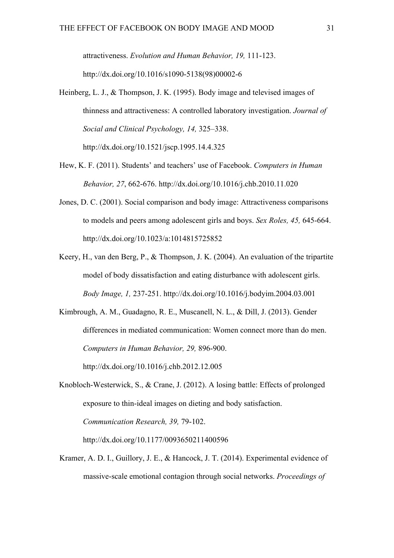attractiveness. *Evolution and Human Behavior, 19,* 111-123. http://dx.doi.org/10.1016/s1090-5138(98)00002-6

- Heinberg, L. J., & Thompson, J. K. (1995). Body image and televised images of thinness and attractiveness: A controlled laboratory investigation. *Journal of Social and Clinical Psychology, 14,* 325–338. http://dx.doi.org/10.1521/jscp.1995.14.4.325
- Hew, K. F. (2011). Students' and teachers' use of Facebook. *Computers in Human Behavior, 27*, 662-676. http://dx.doi.org/10.1016/j.chb.2010.11.020
- Jones, D. C. (2001). Social comparison and body image: Attractiveness comparisons to models and peers among adolescent girls and boys. *Sex Roles, 45,* 645-664. http://dx.doi.org/10.1023/a:1014815725852
- Keery, H., van den Berg, P., & Thompson, J. K. (2004). An evaluation of the tripartite model of body dissatisfaction and eating disturbance with adolescent girls. *Body Image, 1,* 237-251. http://dx.doi.org/10.1016/j.bodyim.2004.03.001

Kimbrough, A. M., Guadagno, R. E., Muscanell, N. L., & Dill, J. (2013). Gender differences in mediated communication: Women connect more than do men. *Computers in Human Behavior, 29,* 896-900. http://dx.doi.org/10.1016/j.chb.2012.12.005

Knobloch-Westerwick, S., & Crane, J. (2012). A losing battle: Effects of prolonged exposure to thin-ideal images on dieting and body satisfaction. *Communication Research, 39,* 79-102.

http://dx.doi.org/10.1177/0093650211400596

Kramer, A. D. I., Guillory, J. E., & Hancock, J. T. (2014). Experimental evidence of massive-scale emotional contagion through social networks. *Proceedings of*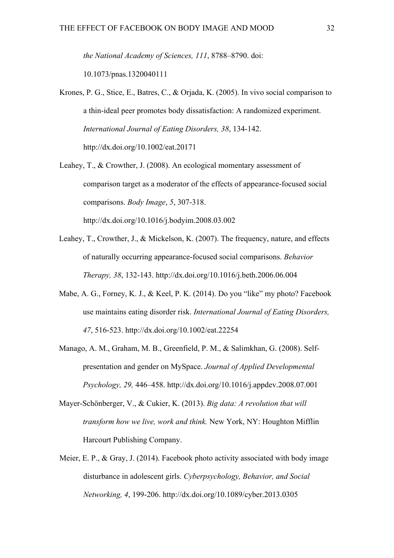*the National Academy of Sciences, 111*, 8788–8790. doi:

10.1073/pnas.1320040111

- Krones, P. G., Stice, E., Batres, C., & Orjada, K. (2005). In vivo social comparison to a thin-ideal peer promotes body dissatisfaction: A randomized experiment. *International Journal of Eating Disorders, 38*, 134-142. http://dx.doi.org/10.1002/eat.20171
- Leahey, T., & Crowther, J. (2008). An ecological momentary assessment of comparison target as a moderator of the effects of appearance-focused social comparisons. *Body Image*, *5*, 307-318. http://dx.doi.org/10.1016/j.bodyim.2008.03.002
- Leahey, T., Crowther, J., & Mickelson, K. (2007). The frequency, nature, and effects of naturally occurring appearance-focused social comparisons. *Behavior Therapy, 38*, 132-143. http://dx.doi.org/10.1016/j.beth.2006.06.004
- Mabe, A. G., Forney, K. J., & Keel, P. K. (2014). Do you "like" my photo? Facebook use maintains eating disorder risk. *International Journal of Eating Disorders, 47*, 516-523. http://dx.doi.org/10.1002/eat.22254
- Manago, A. M., Graham, M. B., Greenfield, P. M., & Salimkhan, G. (2008). Selfpresentation and gender on MySpace. *Journal of Applied Developmental Psychology, 29,* 446–458. http://dx.doi.org/10.1016/j.appdev.2008.07.001
- Mayer-Schönberger, V., & Cukier, K. (2013). *Big data: A revolution that will transform how we live, work and think.* New York, NY: Houghton Mifflin Harcourt Publishing Company.
- Meier, E. P., & Gray, J. (2014). Facebook photo activity associated with body image disturbance in adolescent girls. *Cyberpsychology, Behavior, and Social Networking, 4*, 199-206. http://dx.doi.org/10.1089/cyber.2013.0305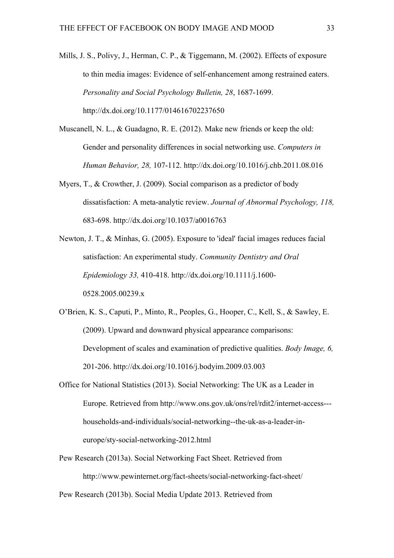Mills, J. S., Polivy, J., Herman, C. P., & Tiggemann, M. (2002). Effects of exposure to thin media images: Evidence of self-enhancement among restrained eaters. *Personality and Social Psychology Bulletin, 28*, 1687-1699. http://dx.doi.org/10.1177/014616702237650

- Muscanell, N. L., & Guadagno, R. E. (2012). Make new friends or keep the old: Gender and personality differences in social networking use. *Computers in Human Behavior, 28,* 107-112. http://dx.doi.org/10.1016/j.chb.2011.08.016
- Myers, T., & Crowther, J. (2009). Social comparison as a predictor of body dissatisfaction: A meta-analytic review. *Journal of Abnormal Psychology, 118,* 683-698. http://dx.doi.org/10.1037/a0016763
- Newton, J. T., & Minhas, G. (2005). Exposure to 'ideal' facial images reduces facial satisfaction: An experimental study. *Community Dentistry and Oral Epidemiology 33,* 410-418. http://dx.doi.org/10.1111/j.1600- 0528.2005.00239.x
- O'Brien, K. S., Caputi, P., Minto, R., Peoples, G., Hooper, C., Kell, S., & Sawley, E. (2009). Upward and downward physical appearance comparisons: Development of scales and examination of predictive qualities. *Body Image, 6,* 201-206. http://dx.doi.org/10.1016/j.bodyim.2009.03.003
- Office for National Statistics (2013). Social Networking: The UK as a Leader in Europe. Retrieved from http://www.ons.gov.uk/ons/rel/rdit2/internet-access-- households-and-individuals/social-networking--the-uk-as-a-leader-ineurope/sty-social-networking-2012.html
- Pew Research (2013a). Social Networking Fact Sheet. Retrieved from http://www.pewinternet.org/fact-sheets/social-networking-fact-sheet/

Pew Research (2013b). Social Media Update 2013. Retrieved from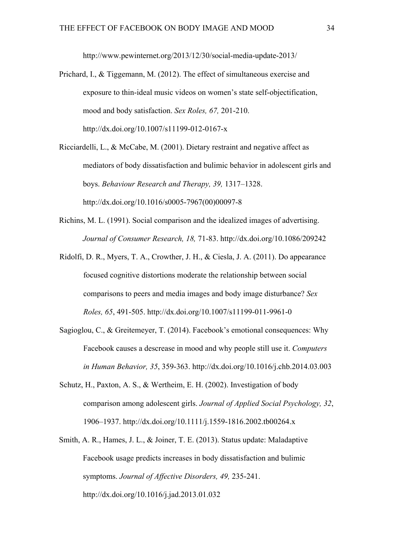http://www.pewinternet.org/2013/12/30/social-media-update-2013/

- Prichard, I., & Tiggemann, M. (2012). The effect of simultaneous exercise and exposure to thin-ideal music videos on women's state self-objectification, mood and body satisfaction. *Sex Roles, 67,* 201-210. http://dx.doi.org/10.1007/s11199-012-0167-x
- Ricciardelli, L., & McCabe, M. (2001). Dietary restraint and negative affect as mediators of body dissatisfaction and bulimic behavior in adolescent girls and boys. *Behaviour Research and Therapy, 39,* 1317–1328. http://dx.doi.org/10.1016/s0005-7967(00)00097-8
- Richins, M. L. (1991). Social comparison and the idealized images of advertising. *Journal of Consumer Research, 18,* 71-83. http://dx.doi.org/10.1086/209242
- Ridolfi, D. R., Myers, T. A., Crowther, J. H., & Ciesla, J. A. (2011). Do appearance focused cognitive distortions moderate the relationship between social comparisons to peers and media images and body image disturbance? *Sex Roles, 65*, 491-505. http://dx.doi.org/10.1007/s11199-011-9961-0
- Sagioglou, C., & Greitemeyer, T. (2014). Facebook's emotional consequences: Why Facebook causes a descrease in mood and why people still use it. *Computers in Human Behavior, 35*, 359-363. http://dx.doi.org/10.1016/j.chb.2014.03.003
- Schutz, H., Paxton, A. S., & Wertheim, E. H. (2002). Investigation of body comparison among adolescent girls. *Journal of Applied Social Psychology, 32*, 1906–1937. http://dx.doi.org/10.1111/j.1559-1816.2002.tb00264.x
- Smith, A. R., Hames, J. L., & Joiner, T. E. (2013). Status update: Maladaptive Facebook usage predicts increases in body dissatisfaction and bulimic symptoms. *Journal of Affective Disorders, 49,* 235-241. http://dx.doi.org/10.1016/j.jad.2013.01.032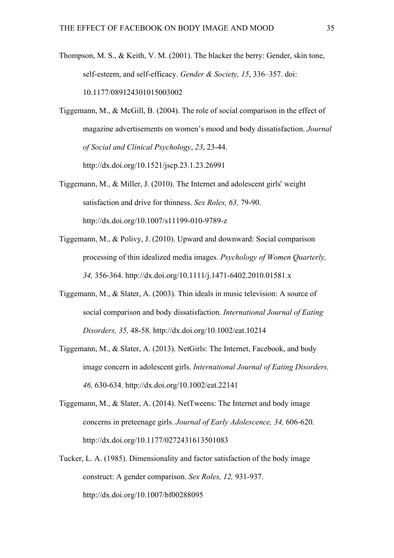Thompson, M. S., & Keith, V. M. (2001). The blacker the berry: Gender, skin tone, self-esteem, and self-efficacy. *Gender & Society, 15*, 336–357. doi: 10.1177/089124301015003002

Tiggemann, M., & McGill, B. (2004). The role of social comparison in the effect of magazine advertisements on women's mood and body dissatisfaction. *Journal of Social and Clinical Psychology*, *23*, 23-44. http://dx.doi.org/10.1521/jscp.23.1.23.26991

- Tiggemann, M., & Miller, J. (2010). The Internet and adolescent girls' weight satisfaction and drive for thinness. *Sex Roles, 63,* 79-90. http://dx.doi.org/10.1007/s11199-010-9789-z
- Tiggemann, M., & Polivy, J. (2010). Upward and downward: Social comparison processing of thin idealized media images. *Psychology of Women Quarterly, 34,* 356-364. http://dx.doi.org/10.1111/j.1471-6402.2010.01581.x
- Tiggemann, M., & Slater, A. (2003). Thin ideals in music television: A source of social comparison and body dissatisfaction. *International Journal of Eating Disorders, 35,* 48-58. http://dx.doi.org/10.1002/eat.10214
- Tiggemann, M., & Slater, A. (2013). NetGirls: The Internet, Facebook, and body image concern in adolescent girls. *International Journal of Eating Disorders, 46,* 630-634. http://dx.doi.org/10.1002/eat.22141
- Tiggemann, M., & Slater, A. (2014). NetTweens: The Internet and body image concerns in preteenage girls. *Journal of Early Adolescence, 34,* 606-620. http://dx.doi.org/10.1177/0272431613501083
- Tucker, L. A. (1985). Dimensionality and factor satisfaction of the body image construct: A gender comparison. *Sex Roles, 12,* 931-937. http://dx.doi.org/10.1007/bf00288095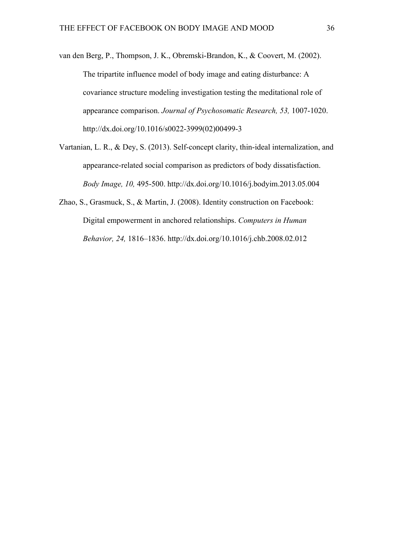- van den Berg, P., Thompson, J. K., Obremski-Brandon, K., & Coovert, M. (2002). The tripartite influence model of body image and eating disturbance: A covariance structure modeling investigation testing the meditational role of appearance comparison. *Journal of Psychosomatic Research, 53,* 1007-1020. http://dx.doi.org/10.1016/s0022-3999(02)00499-3
- Vartanian, L. R., & Dey, S. (2013). Self-concept clarity, thin-ideal internalization, and appearance-related social comparison as predictors of body dissatisfaction. *Body Image, 10,* 495-500. http://dx.doi.org/10.1016/j.bodyim.2013.05.004
- Zhao, S., Grasmuck, S., & Martin, J. (2008). Identity construction on Facebook: Digital empowerment in anchored relationships. *Computers in Human Behavior, 24,* 1816–1836. http://dx.doi.org/10.1016/j.chb.2008.02.012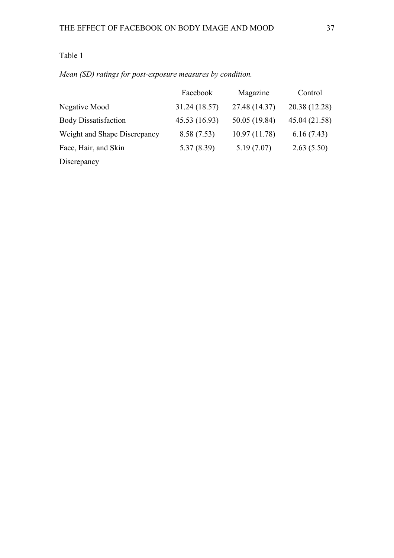# Table 1

|                              | Facebook      | Magazine      | Control       |
|------------------------------|---------------|---------------|---------------|
| Negative Mood                | 31.24 (18.57) | 27.48 (14.37) | 20.38 (12.28) |
| <b>Body Dissatisfaction</b>  | 45.53 (16.93) | 50.05 (19.84) | 45.04 (21.58) |
| Weight and Shape Discrepancy | 8.58(7.53)    | 10.97(11.78)  | 6.16(7.43)    |
| Face, Hair, and Skin         | 5.37(8.39)    | 5.19(7.07)    | 2.63(5.50)    |
| Discrepancy                  |               |               |               |

*Mean (SD) ratings for post-exposure measures by condition.*